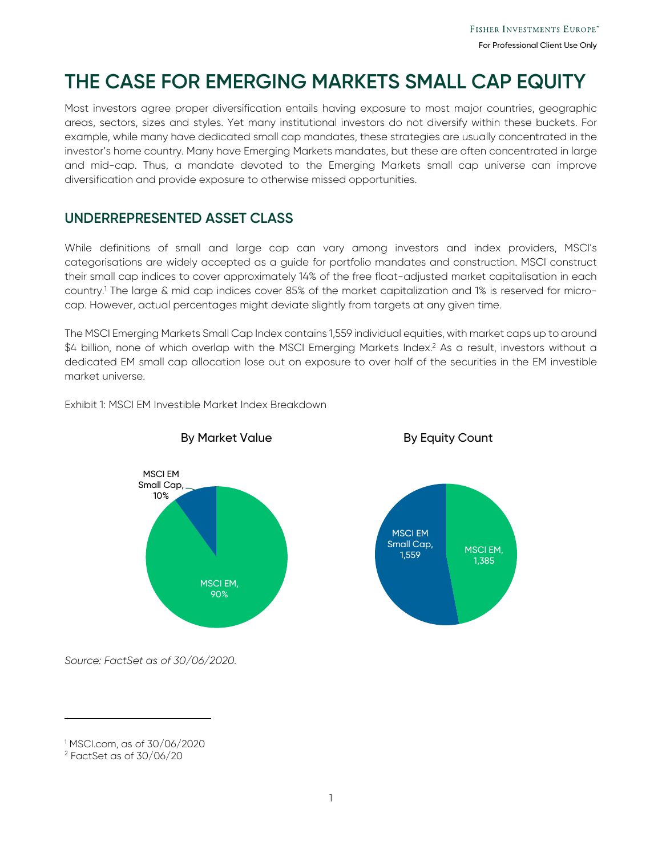# **THE CASE FOR EMERGING MARKETS SMALL CAP EQUITY**

Most investors agree proper diversification entails having exposure to most major countries, geographic areas, sectors, sizes and styles. Yet many institutional investors do not diversify within these buckets. For example, while many have dedicated small cap mandates, these strategies are usually concentrated in the investor's home country. Many have Emerging Markets mandates, but these are often concentrated in large and mid-cap. Thus, a mandate devoted to the Emerging Markets small cap universe can improve diversification and provide exposure to otherwise missed opportunities.

#### **UNDERREPRESENTED ASSET CLASS**

While definitions of small and large cap can vary among investors and index providers, MSCI's categorisations are widely accepted as a guide for portfolio mandates and construction. MSCI construct their small cap indices to cover approximately 14% of the free float-adjusted market capitalisation in each country.1 The large & mid cap indices cover 85% of the market capitalization and 1% is reserved for microcap. However, actual percentages might deviate slightly from targets at any given time.

The MSCI Emerging Markets Small Cap Index contains 1,559 individual equities, with market caps up to around  $$4$  billion, none of which overlap with the MSCI Emerging Markets Index. $^{2}$  As a result, investors without a dedicated EM small cap allocation lose out on exposure to over half of the securities in the EM investible market universe.

Exhibit 1: MSCI EM Investible Market Index Breakdown







*Source: FactSet as of 30/06/2020.* 

j

<sup>1</sup> MSCI.com, as of 30/06/2020

<sup>2</sup> FactSet as of 30/06/20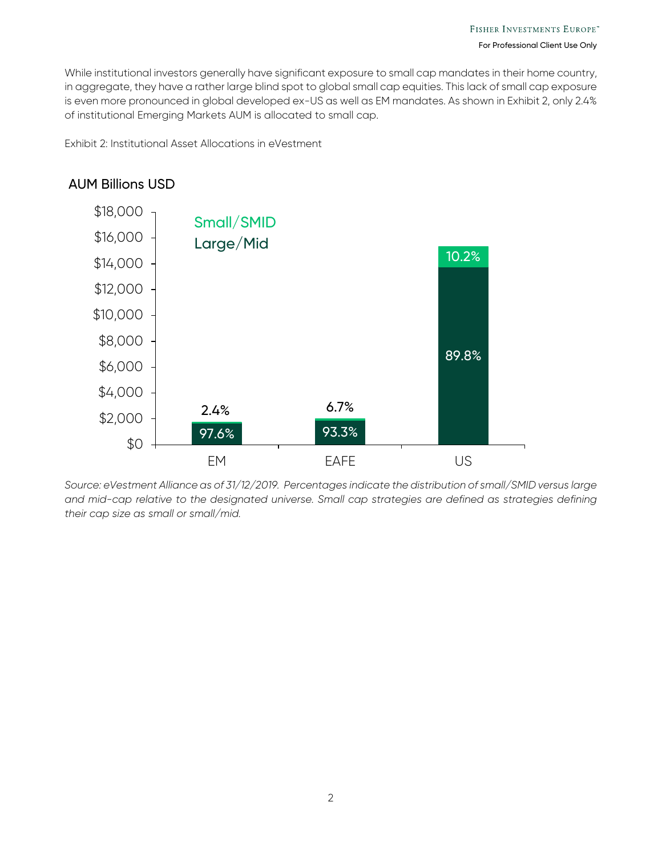While institutional investors generally have significant exposure to small cap mandates in their home country, in aggregate, they have a rather large blind spot to global small cap equities. This lack of small cap exposure is even more pronounced in global developed ex-US as well as EM mandates. As shown in Exhibit 2, only 2.4% of institutional Emerging Markets AUM is allocated to small cap.

Exhibit 2: Institutional Asset Allocations in eVestment

#### AUM Billions USD



*Source: eVestment Alliance as of 31/12/2019. Percentages indicate the distribution of small/SMID versus large and mid-cap relative to the designated universe. Small cap strategies are defined as strategies defining their cap size as small or small/mid.*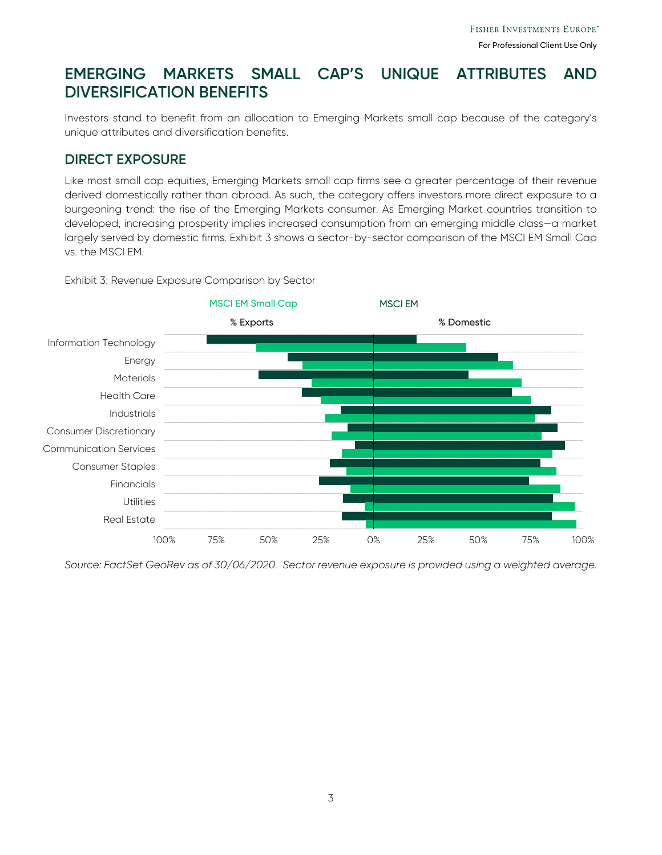## **EMERGING MARKETS SMALL CAP'S UNIQUE ATTRIBUTES AND DIVERSIFICATION BENEFITS**

Investors stand to benefit from an allocation to Emerging Markets small cap because of the category's unique attributes and diversification benefits.

#### **DIRECT EXPOSURE**

Like most small cap equities, Emerging Markets small cap firms see a greater percentage of their revenue derived domestically rather than abroad. As such, the category offers investors more direct exposure to a burgeoning trend: the rise of the Emerging Markets consumer. As Emerging Market countries transition to developed, increasing prosperity implies increased consumption from an emerging middle class—a market largely served by domestic firms. Exhibit 3 shows a sector-by-sector comparison of the MSCI EM Small Cap vs. the MSCI EM.

Exhibit 3: Revenue Exposure Comparison by Sector



*Source: FactSet GeoRev as of 30/06/2020. Sector revenue exposure is provided using a weighted average.*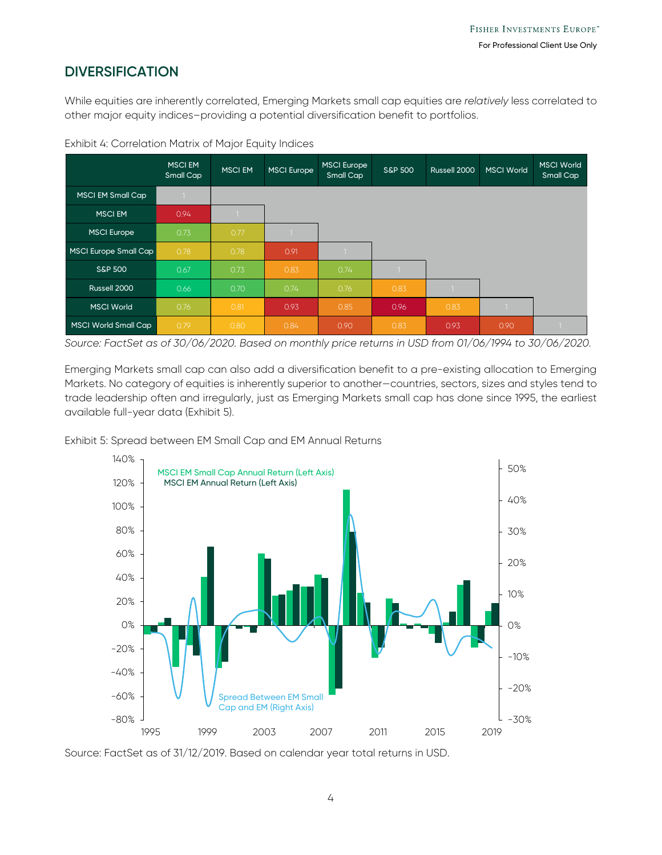#### **DIVERSIFICATION**

While equities are inherently correlated, Emerging Markets small cap equities are *relatively* less correlated to other major equity indices–providing a potential diversification benefit to portfolios.

|                       | <b>MSCIEM</b><br>Small Cap | <b>MSCI EM</b> | <b>MSCI Europe</b> | <b>MSCI Europe</b><br>Small Cap | <b>S&amp;P 500</b> | Russell 2000 | <b>MSCI World</b> | <b>MSCI World</b><br>Small Cap |
|-----------------------|----------------------------|----------------|--------------------|---------------------------------|--------------------|--------------|-------------------|--------------------------------|
| MSCI EM Small Cap     |                            |                |                    |                                 |                    |              |                   |                                |
| <b>MSCIEM</b>         | 0.94                       |                |                    |                                 |                    |              |                   |                                |
| <b>MSCI Europe</b>    | 0.73                       | 0.77           |                    |                                 |                    |              |                   |                                |
| MSCI Europe Small Cap | 0.78                       | 0.78           | 0.91               |                                 |                    |              |                   |                                |
| <b>S&amp;P 500</b>    | 0.67                       | 0.73           | 0.83               | 0.74                            |                    |              |                   |                                |
| Russell 2000          | 0.66                       | 0.70           | 0.74               | 0.76                            | 0.83               |              |                   |                                |
| <b>MSCI World</b>     | 0.76                       | 0.81           | 0.93               | 0.85                            | 0.96               | 0.83         |                   |                                |
| MSCI World Small Cap  | 0.79                       | 0.80           | 0.84               | 0.90                            | 0.83               | 0.93         | 0.90              |                                |

Exhibit 4: Correlation Matrix of Major Equity Indices

*Source: FactSet as of 30/06/2020. Based on monthly price returns in USD from 01/06/1994 to 30/06/2020.* 

Emerging Markets small cap can also add a diversification benefit to a pre-existing allocation to Emerging Markets. No category of equities is inherently superior to another—countries, sectors, sizes and styles tend to trade leadership often and irregularly, just as Emerging Markets small cap has done since 1995, the earliest available full-year data (Exhibit 5).

Exhibit 5: Spread between EM Small Cap and EM Annual Returns



Source: FactSet as of 31/12/2019. Based on calendar year total returns in USD.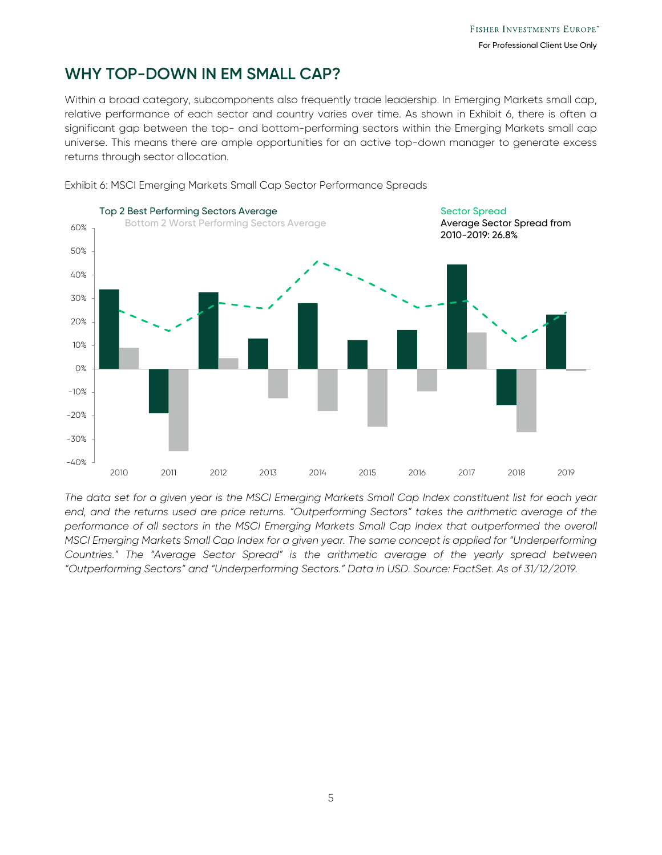#### **WHY TOP-DOWN IN EM SMALL CAP?**

Within a broad category, subcomponents also frequently trade leadership. In Emerging Markets small cap, relative performance of each sector and country varies over time. As shown in Exhibit 6, there is often a significant gap between the top- and bottom-performing sectors within the Emerging Markets small cap universe. This means there are ample opportunities for an active top-down manager to generate excess returns through sector allocation.



Exhibit 6: MSCI Emerging Markets Small Cap Sector Performance Spreads

*The data set for a given year is the MSCI Emerging Markets Small Cap Index constituent list for each year end, and the returns used are price returns. "Outperforming Sectors" takes the arithmetic average of the*  performance of all sectors in the MSCI Emerging Markets Small Cap Index that outperformed the overall *MSCI Emerging Markets Small Cap Index for a given year. The same concept is applied for "Underperforming Countries." The "Average Sector Spread" is the arithmetic average of the yearly spread between "Outperforming Sectors" and "Underperforming Sectors." Data in USD. Source: FactSet. As of 31/12/2019.*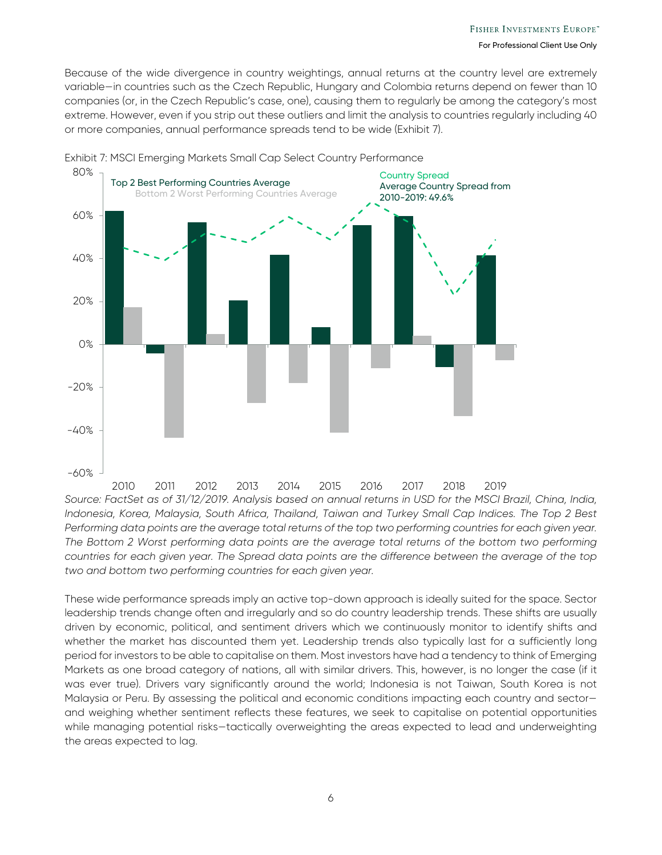Because of the wide divergence in country weightings, annual returns at the country level are extremely variable—in countries such as the Czech Republic, Hungary and Colombia returns depend on fewer than 10 companies (or, in the Czech Republic's case, one), causing them to regularly be among the category's most extreme. However, even if you strip out these outliers and limit the analysis to countries regularly including 40 or more companies, annual performance spreads tend to be wide (Exhibit 7).



Exhibit 7: MSCI Emerging Markets Small Cap Select Country Performance

*Source: FactSet as of 31/12/2019. Analysis based on annual returns in USD for the MSCI Brazil, China, India, Indonesia, Korea, Malaysia, South Africa, Thailand, Taiwan and Turkey Small Cap Indices. The Top 2 Best*  Performing data points are the average total returns of the top two performing countries for each given year. *The Bottom 2 Worst performing data points are the average total returns of the bottom two performing countries for each given year. The Spread data points are the difference between the average of the top two and bottom two performing countries for each given year.*  2010 2011 2012 2013 2014 2015 2016 2017 2018 2019

These wide performance spreads imply an active top-down approach is ideally suited for the space. Sector leadership trends change often and irregularly and so do country leadership trends. These shifts are usually driven by economic, political, and sentiment drivers which we continuously monitor to identify shifts and whether the market has discounted them yet. Leadership trends also typically last for a sufficiently long period for investors to be able to capitalise on them. Most investors have had a tendency to think of Emerging Markets as one broad category of nations, all with similar drivers. This, however, is no longer the case (if it was ever true). Drivers vary significantly around the world; Indonesia is not Taiwan, South Korea is not Malaysia or Peru. By assessing the political and economic conditions impacting each country and sector and weighing whether sentiment reflects these features, we seek to capitalise on potential opportunities while managing potential risks-tactically overweighting the areas expected to lead and underweighting the areas expected to lag.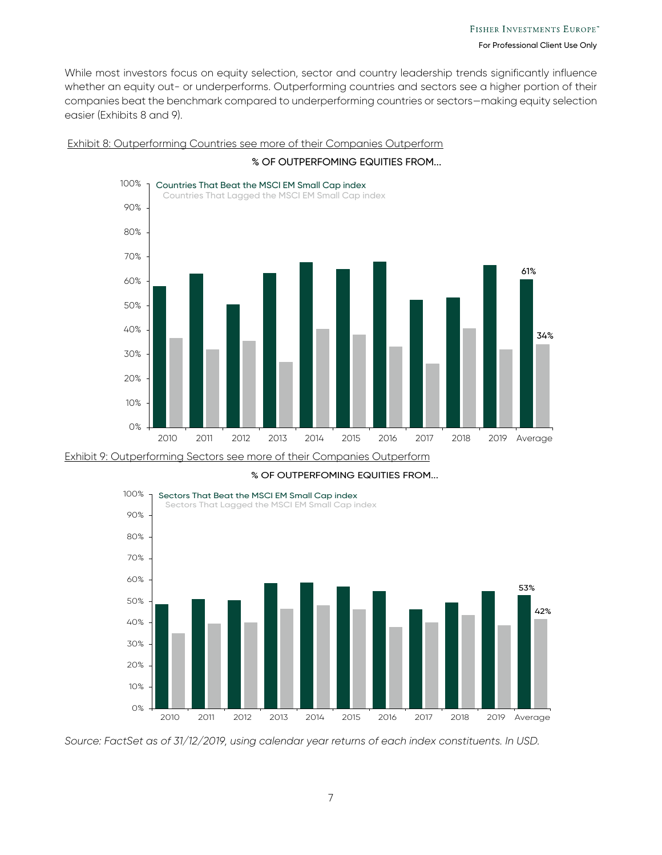While most investors focus on equity selection, sector and country leadership trends significantly influence whether an equity out- or underperforms. Outperforming countries and sectors see a higher portion of their companies beat the benchmark compared to underperforming countries or sectors—making equity selection easier (Exhibits 8 and 9).



#### Exhibit 8: Outperforming Countries see more of their Companies Outperform % OF OUTPERFOMING EQUITIES FROM...





% OF OUTPERFOMING EQUITIES FROM...

*Source: FactSet as of 31/12/2019, using calendar year returns of each index constituents. In USD.*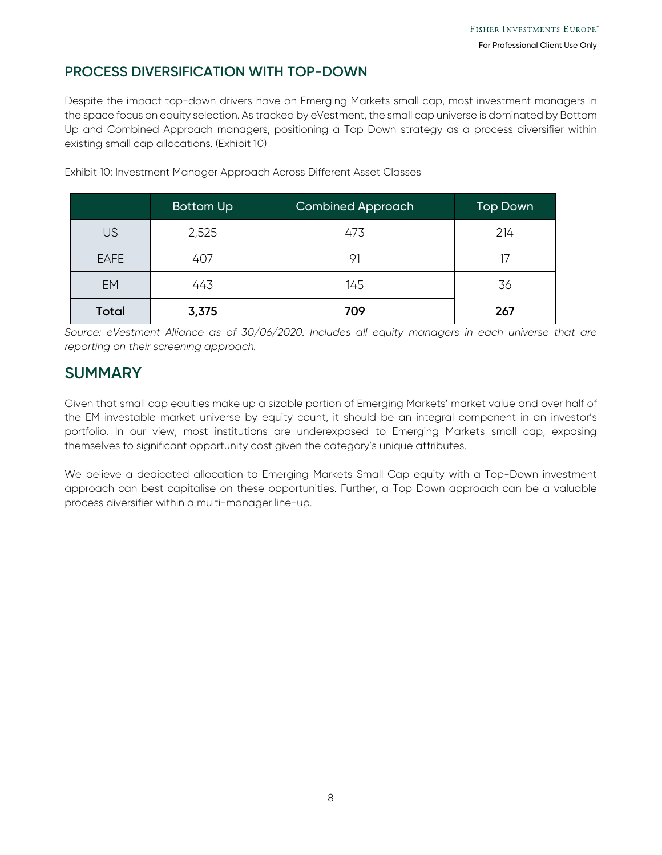#### **PROCESS DIVERSIFICATION WITH TOP-DOWN**

Despite the impact top-down drivers have on Emerging Markets small cap, most investment managers in the space focus on equity selection. As tracked by eVestment, the small cap universe is dominated by Bottom Up and Combined Approach managers, positioning a Top Down strategy as a process diversifier within existing small cap allocations. (Exhibit 10)

|              | <b>Bottom Up</b> | <b>Combined Approach</b> | <b>Top Down</b> |
|--------------|------------------|--------------------------|-----------------|
| <b>US</b>    | 2,525            | 473                      | 214             |
| <b>EAFE</b>  | 407              | 91                       |                 |
| EM           | 443              | 145                      | 36              |
| <b>Total</b> | 3,375            | 709                      | 267             |

Exhibit 10: Investment Manager Approach Across Different Asset Classes

*Source: eVestment Alliance as of 30/06/2020. Includes all equity managers in each universe that are reporting on their screening approach.* 

## **SUMMARY**

Given that small cap equities make up a sizable portion of Emerging Markets' market value and over half of the EM investable market universe by equity count, it should be an integral component in an investor's portfolio. In our view, most institutions are underexposed to Emerging Markets small cap, exposing themselves to significant opportunity cost given the category's unique attributes.

We believe a dedicated allocation to Emerging Markets Small Cap equity with a Top-Down investment approach can best capitalise on these opportunities. Further, a Top Down approach can be a valuable process diversifier within a multi-manager line-up.